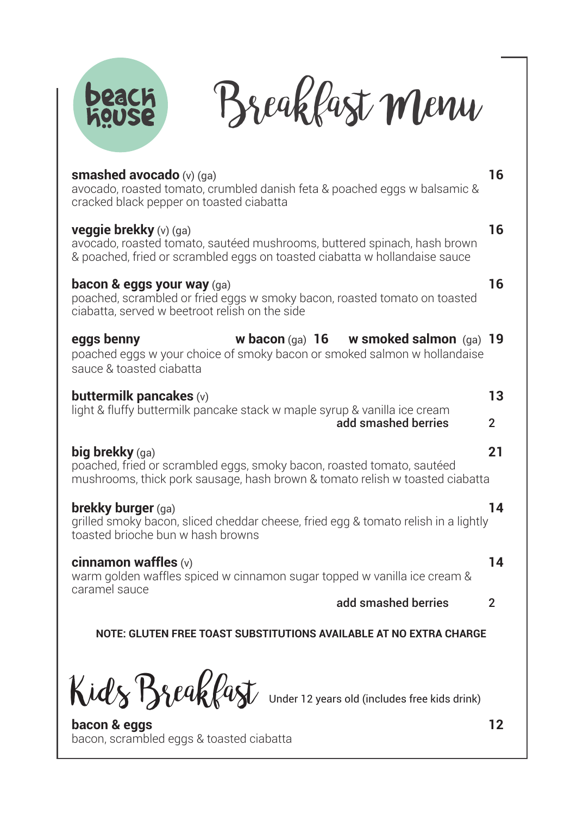



| smashed avocado $(v)$ $(qa)$<br>avocado, roasted tomato, crumbled danish feta & poached eggs w balsamic &<br>cracked black pepper on toasted ciabatta                                       | 16                   |                                                                    |  |
|---------------------------------------------------------------------------------------------------------------------------------------------------------------------------------------------|----------------------|--------------------------------------------------------------------|--|
| <b>veggie brekky</b> $(v)$ $(qa)$<br>avocado, roasted tomato, sautéed mushrooms, buttered spinach, hash brown<br>& poached, fried or scrambled eggs on toasted ciabatta w hollandaise sauce |                      |                                                                    |  |
| bacon & eggs your way (ga)<br>poached, scrambled or fried eggs w smoky bacon, roasted tomato on toasted<br>ciabatta, served w beetroot relish on the side                                   | 16                   |                                                                    |  |
| w bacon $(qa)$ 16 w smoked salmon $(qa)$ 19<br>eggs benny<br>poached eggs w your choice of smoky bacon or smoked salmon w hollandaise<br>sauce & toasted ciabatta                           |                      |                                                                    |  |
| buttermilk pancakes $(v)$<br>light & fluffy buttermilk pancake stack w maple syrup & vanilla ice cream<br>add smashed berries                                                               | 13<br>$\overline{2}$ |                                                                    |  |
| big brekky $(ga)$<br>poached, fried or scrambled eggs, smoky bacon, roasted tomato, sautéed<br>mushrooms, thick pork sausage, hash brown & tomato relish w toasted ciabatta                 | 21                   |                                                                    |  |
| <b>brekky burger</b> (ga)<br>grilled smoky bacon, sliced cheddar cheese, fried egg & tomato relish in a lightly<br>toasted brioche bun w hash browns                                        | 14                   |                                                                    |  |
| cinnamon waffles (v)<br>warm golden waffles spiced w cinnamon sugar topped w vanilla ice cream &<br>caramel sauce<br>add smashed berries                                                    |                      |                                                                    |  |
|                                                                                                                                                                                             |                      | NOTE: GLUTEN FREE TOAST SUBSTITUTIONS AVAILABLE AT NO EXTRA CHARGE |  |

 $\mathcal{K}$ idl $\gamma$   $\beta$ sleaklast under 12 years old (includes free kids drink)

**bacon & eggs 12** bacon, scrambled eggs & toasted ciabatta